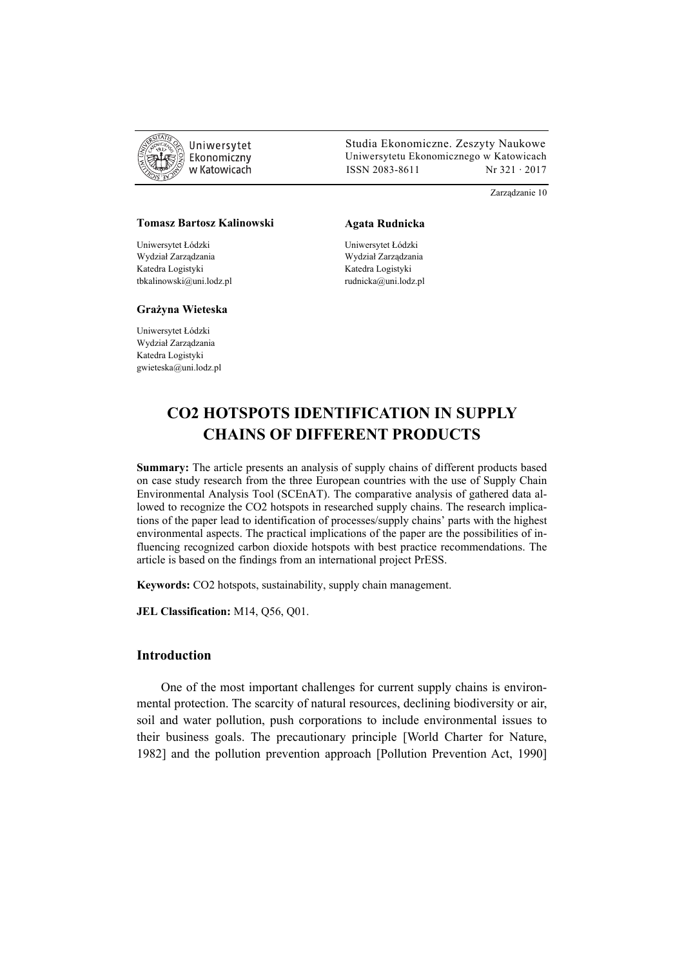

 Studia Ekonomiczne. Zeszyty Naukowe Ekonomiczny Uniwersytetu Ekonomicznego w Katowicach w Katowicach Matsus (ISSN 2083-8611 Nr 321 · 2017

Zarządzanie 10

#### **Tomasz Bartosz Kalinowski**

Uniwersytet Łódzki Wydział Zarządzania Katedra Logistyki tbkalinowski@uni.lodz.pl

#### **Grażyna Wieteska**

Uniwersytet Łódzki Wydział Zarządzania Katedra Logistyki gwieteska@uni.lodz.pl

#### **Agata Rudnicka**

Uniwersytet Łódzki Wydział Zarządzania Katedra Logistyki rudnicka@uni.lodz.pl

# **CO2 HOTSPOTS IDENTIFICATION IN SUPPLY CHAINS OF DIFFERENT PRODUCTS**

**Summary:** The article presents an analysis of supply chains of different products based on case study research from the three European countries with the use of Supply Chain Environmental Analysis Tool (SCEnAT). The comparative analysis of gathered data allowed to recognize the CO2 hotspots in researched supply chains. The research implications of the paper lead to identification of processes/supply chains' parts with the highest environmental aspects. The practical implications of the paper are the possibilities of influencing recognized carbon dioxide hotspots with best practice recommendations. The article is based on the findings from an international project PrESS.

**Keywords:** CO2 hotspots, sustainability, supply chain management.

**JEL Classification:** M14, Q56, Q01.

## **Introduction**

One of the most important challenges for current supply chains is environmental protection. The scarcity of natural resources, declining biodiversity or air, soil and water pollution, push corporations to include environmental issues to their business goals. The precautionary principle [World Charter for Nature, 1982] and the pollution prevention approach [Pollution Prevention Act, 1990]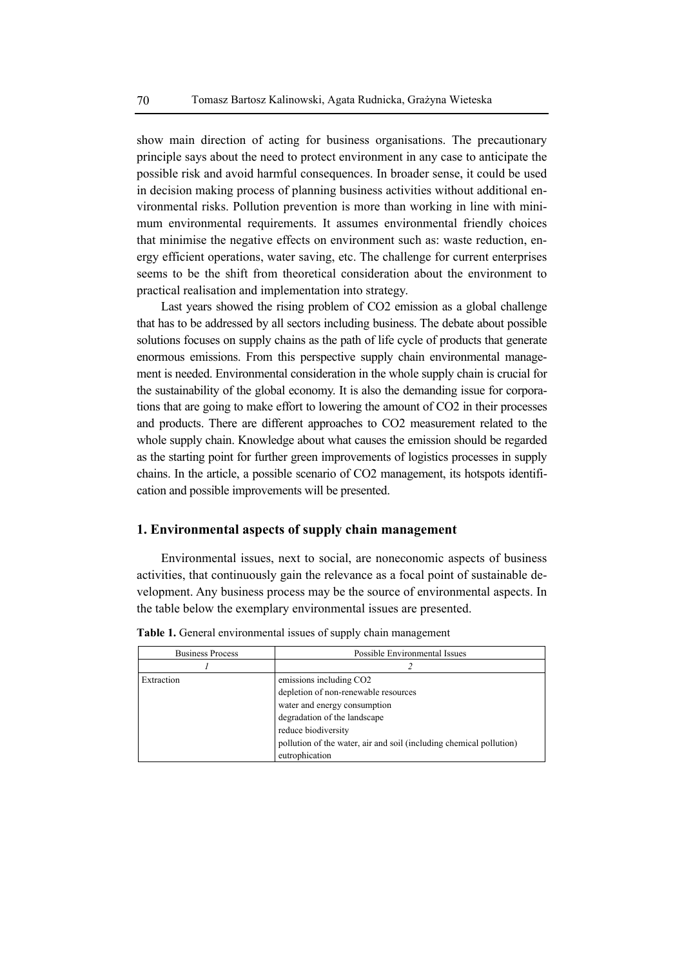show main direction of acting for business organisations. The precautionary principle says about the need to protect environment in any case to anticipate the possible risk and avoid harmful consequences. In broader sense, it could be used in decision making process of planning business activities without additional environmental risks. Pollution prevention is more than working in line with minimum environmental requirements. It assumes environmental friendly choices that minimise the negative effects on environment such as: waste reduction, energy efficient operations, water saving, etc. The challenge for current enterprises seems to be the shift from theoretical consideration about the environment to practical realisation and implementation into strategy.

Last years showed the rising problem of CO2 emission as a global challenge that has to be addressed by all sectors including business. The debate about possible solutions focuses on supply chains as the path of life cycle of products that generate enormous emissions. From this perspective supply chain environmental management is needed. Environmental consideration in the whole supply chain is crucial for the sustainability of the global economy. It is also the demanding issue for corporations that are going to make effort to lowering the amount of CO2 in their processes and products. There are different approaches to CO2 measurement related to the whole supply chain. Knowledge about what causes the emission should be regarded as the starting point for further green improvements of logistics processes in supply chains. In the article, a possible scenario of CO2 management, its hotspots identification and possible improvements will be presented.

#### **1. Environmental aspects of supply chain management**

Environmental issues, next to social, are noneconomic aspects of business activities, that continuously gain the relevance as a focal point of sustainable development. Any business process may be the source of environmental aspects. In the table below the exemplary environmental issues are presented.

| <b>Business Process</b> | Possible Environmental Issues                                       |
|-------------------------|---------------------------------------------------------------------|
|                         |                                                                     |
| Extraction              | emissions including CO <sub>2</sub>                                 |
|                         | depletion of non-renewable resources                                |
|                         | water and energy consumption                                        |
|                         | degradation of the landscape                                        |
|                         | reduce biodiversity                                                 |
|                         | pollution of the water, air and soil (including chemical pollution) |
|                         | eutrophication                                                      |

**Table 1.** General environmental issues of supply chain management

 $\Gamma$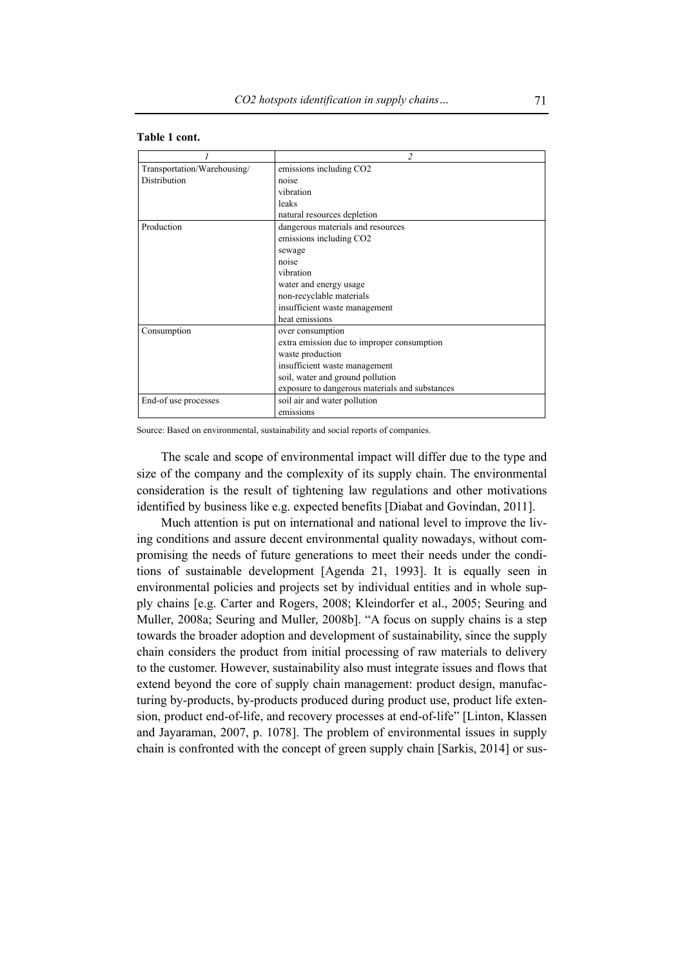|                             | $\mathfrak{D}$                                 |
|-----------------------------|------------------------------------------------|
| Transportation/Warehousing/ | emissions including CO2                        |
| Distribution                | noise                                          |
|                             | vibration                                      |
|                             | leaks                                          |
|                             | natural resources depletion                    |
| Production                  | dangerous materials and resources              |
|                             | emissions including CO <sub>2</sub>            |
|                             | sewage                                         |
|                             | noise                                          |
|                             | vibration                                      |
|                             | water and energy usage                         |
|                             | non-recyclable materials                       |
|                             | insufficient waste management                  |
|                             | heat emissions                                 |
| Consumption                 | over consumption                               |
|                             | extra emission due to improper consumption     |
|                             | waste production                               |
|                             | insufficient waste management                  |
|                             | soil, water and ground pollution               |
|                             | exposure to dangerous materials and substances |
| End-of use processes        | soil air and water pollution                   |
|                             | emissions                                      |

#### **Table 1 cont.**

Source: Based on environmental, sustainability and social reports of companies.

The scale and scope of environmental impact will differ due to the type and size of the company and the complexity of its supply chain. The environmental consideration is the result of tightening law regulations and other motivations identified by business like e.g. expected benefits [Diabat and Govindan, 2011].

Much attention is put on international and national level to improve the living conditions and assure decent environmental quality nowadays, without compromising the needs of future generations to meet their needs under the conditions of sustainable development [Agenda 21, 1993]. It is equally seen in environmental policies and projects set by individual entities and in whole supply chains [e.g. Carter and Rogers, 2008; Kleindorfer et al., 2005; Seuring and Muller, 2008a; Seuring and Muller, 2008b]. "A focus on supply chains is a step towards the broader adoption and development of sustainability, since the supply chain considers the product from initial processing of raw materials to delivery to the customer. However, sustainability also must integrate issues and flows that extend beyond the core of supply chain management: product design, manufacturing by-products, by-products produced during product use, product life extension, product end-of-life, and recovery processes at end-of-life" [Linton, Klassen and Jayaraman, 2007, p. 1078]. The problem of environmental issues in supply chain is confronted with the concept of green supply chain [Sarkis, 2014] or sus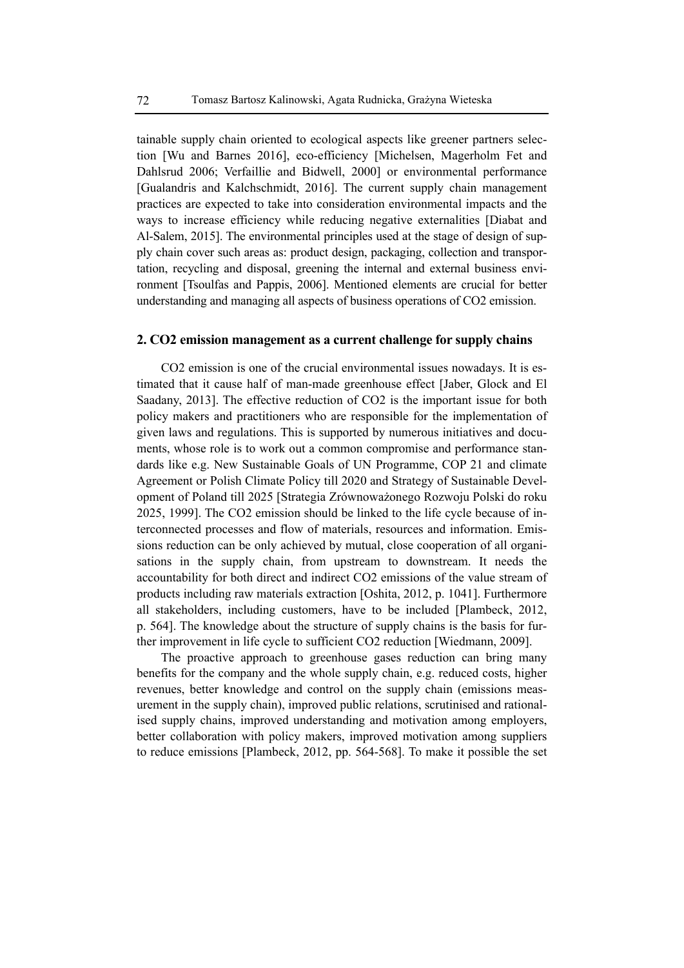tainable supply chain oriented to ecological aspects like greener partners selection [Wu and Barnes 2016], eco-efficiency [Michelsen, Magerholm Fet and Dahlsrud 2006; Verfaillie and Bidwell, 2000] or environmental performance [Gualandris and Kalchschmidt, 2016]. The current supply chain management practices are expected to take into consideration environmental impacts and the ways to increase efficiency while reducing negative externalities [Diabat and Al-Salem, 2015]. The environmental principles used at the stage of design of supply chain cover such areas as: product design, packaging, collection and transportation, recycling and disposal, greening the internal and external business environment [Tsoulfas and Pappis, 2006]. Mentioned elements are crucial for better understanding and managing all aspects of business operations of CO2 emission.

#### **2. CO2 emission management as a current challenge for supply chains**

CO2 emission is one of the crucial environmental issues nowadays. It is estimated that it cause half of man-made greenhouse effect [Jaber, Glock and El Saadany, 2013]. The effective reduction of CO2 is the important issue for both policy makers and practitioners who are responsible for the implementation of given laws and regulations. This is supported by numerous initiatives and documents, whose role is to work out a common compromise and performance standards like e.g. New Sustainable Goals of UN Programme, COP 21 and climate Agreement or Polish Climate Policy till 2020 and Strategy of Sustainable Development of Poland till 2025 [Strategia Zrównoważonego Rozwoju Polski do roku 2025, 1999]. The CO2 emission should be linked to the life cycle because of interconnected processes and flow of materials, resources and information. Emissions reduction can be only achieved by mutual, close cooperation of all organisations in the supply chain, from upstream to downstream. It needs the accountability for both direct and indirect CO2 emissions of the value stream of products including raw materials extraction [Oshita, 2012, p. 1041]. Furthermore all stakeholders, including customers, have to be included [Plambeck, 2012, p. 564]. The knowledge about the structure of supply chains is the basis for further improvement in life cycle to sufficient CO2 reduction [Wiedmann, 2009].

The proactive approach to greenhouse gases reduction can bring many benefits for the company and the whole supply chain, e.g. reduced costs, higher revenues, better knowledge and control on the supply chain (emissions measurement in the supply chain), improved public relations, scrutinised and rationalised supply chains, improved understanding and motivation among employers, better collaboration with policy makers, improved motivation among suppliers to reduce emissions [Plambeck, 2012, pp. 564-568]. To make it possible the set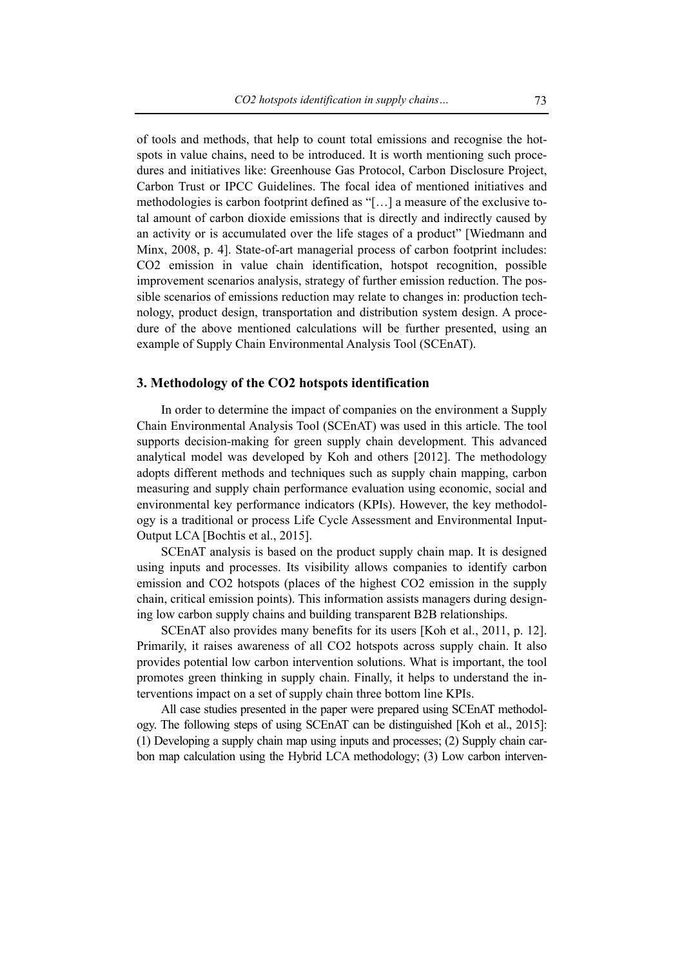of tools and methods, that help to count total emissions and recognise the hotspots in value chains, need to be introduced. It is worth mentioning such procedures and initiatives like: Greenhouse Gas Protocol, Carbon Disclosure Project, Carbon Trust or IPCC Guidelines. The focal idea of mentioned initiatives and methodologies is carbon footprint defined as "[…] a measure of the exclusive total amount of carbon dioxide emissions that is directly and indirectly caused by an activity or is accumulated over the life stages of a product" [Wiedmann and Minx, 2008, p. 4]. State-of-art managerial process of carbon footprint includes: CO2 emission in value chain identification, hotspot recognition, possible improvement scenarios analysis, strategy of further emission reduction. The possible scenarios of emissions reduction may relate to changes in: production technology, product design, transportation and distribution system design. A procedure of the above mentioned calculations will be further presented, using an example of Supply Chain Environmental Analysis Tool (SCEnAT).

# **3. Methodology of the CO2 hotspots identification**

In order to determine the impact of companies on the environment a Supply Chain Environmental Analysis Tool (SCEnAT) was used in this article. The tool supports decision-making for green supply chain development. This advanced analytical model was developed by Koh and others [2012]. The methodology adopts different methods and techniques such as supply chain mapping, carbon measuring and supply chain performance evaluation using economic, social and environmental key performance indicators (KPIs). However, the key methodology is a traditional or process Life Cycle Assessment and Environmental Input-Output LCA [Bochtis et al., 2015].

SCEnAT analysis is based on the product supply chain map. It is designed using inputs and processes. Its visibility allows companies to identify carbon emission and CO2 hotspots (places of the highest CO2 emission in the supply chain, critical emission points). This information assists managers during designing low carbon supply chains and building transparent B2B relationships.

SCEnAT also provides many benefits for its users [Koh et al., 2011, p. 12]. Primarily, it raises awareness of all CO2 hotspots across supply chain. It also provides potential low carbon intervention solutions. What is important, the tool promotes green thinking in supply chain. Finally, it helps to understand the interventions impact on a set of supply chain three bottom line KPIs.

All case studies presented in the paper were prepared using SCEnAT methodology. The following steps of using SCEnAT can be distinguished [Koh et al., 2015]: (1) Developing a supply chain map using inputs and processes; (2) Supply chain carbon map calculation using the Hybrid LCA methodology; (3) Low carbon interven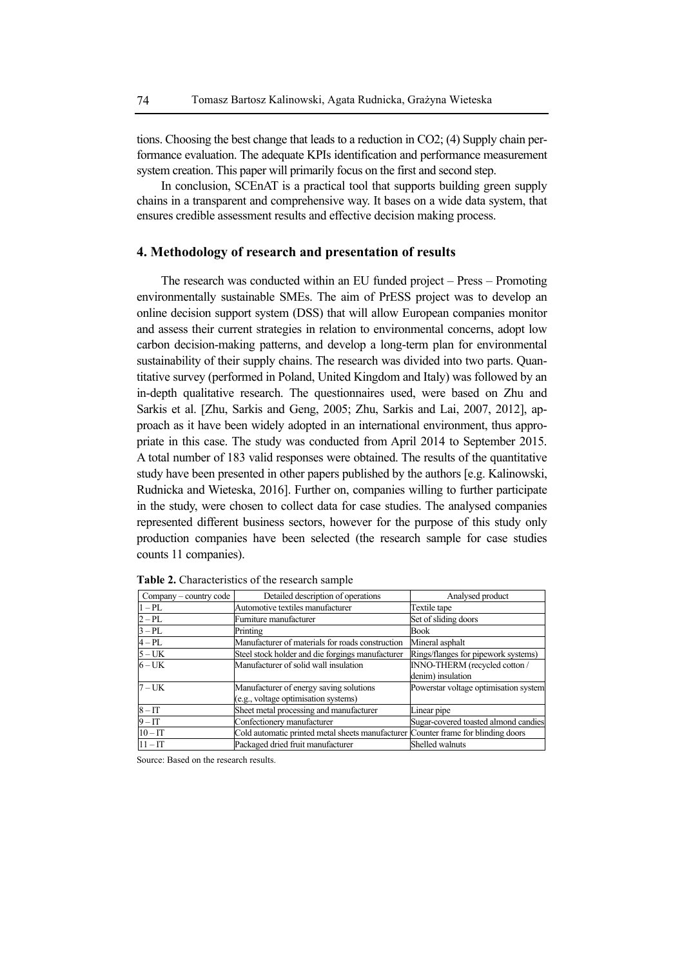tions. Choosing the best change that leads to a reduction in CO2; (4) Supply chain performance evaluation. The adequate KPIs identification and performance measurement system creation. This paper will primarily focus on the first and second step.

In conclusion, SCEnAT is a practical tool that supports building green supply chains in a transparent and comprehensive way. It bases on a wide data system, that ensures credible assessment results and effective decision making process.

#### **4. Methodology of research and presentation of results**

The research was conducted within an EU funded project – Press – Promoting environmentally sustainable SMEs. The aim of PrESS project was to develop an online decision support system (DSS) that will allow European companies monitor and assess their current strategies in relation to environmental concerns, adopt low carbon decision-making patterns, and develop a long-term plan for environmental sustainability of their supply chains. The research was divided into two parts. Quantitative survey (performed in Poland, United Kingdom and Italy) was followed by an in-depth qualitative research. The questionnaires used, were based on Zhu and Sarkis et al. [Zhu, Sarkis and Geng, 2005; Zhu, Sarkis and Lai, 2007, 2012], approach as it have been widely adopted in an international environment, thus appropriate in this case. The study was conducted from April 2014 to September 2015. A total number of 183 valid responses were obtained. The results of the quantitative study have been presented in other papers published by the authors [e.g. Kalinowski, Rudnicka and Wieteska, 2016]. Further on, companies willing to further participate in the study, were chosen to collect data for case studies. The analysed companies represented different business sectors, however for the purpose of this study only production companies have been selected (the research sample for case studies counts 11 companies).

| Company – country code | Detailed description of operations                                                | Analysed product                      |
|------------------------|-----------------------------------------------------------------------------------|---------------------------------------|
| $1 - PL$               | Automotive textiles manufacturer                                                  | Textile tape                          |
| $2 - PL$               | Furniture manufacturer                                                            | Set of sliding doors                  |
| $3-PL$                 | Printing                                                                          | Book                                  |
| $4 - PL$               | Manufacturer of materials for roads construction                                  | Mineral asphalt                       |
| $5 - UK$               | Steel stock holder and die forgings manufacturer                                  | Rings/flanges for pipework systems)   |
| $6 - UK$               | Manufacturer of solid wall insulation                                             | INNO-THERM (recycled cotton /         |
|                        |                                                                                   | denim) insulation                     |
| $7 - UK$               | Manufacturer of energy saving solutions                                           | Powerstar voltage optimisation system |
|                        | (e.g., voltage optimisation systems)                                              |                                       |
| $8 - IT$               | Sheet metal processing and manufacturer                                           | Linear pipe                           |
| $9 - IT$               | Confectionery manufacturer                                                        | Sugar-covered toasted almond candies  |
| $10 - IT$              | Cold automatic printed metal sheets manufacturer Counter frame for blinding doors |                                       |
| $11 - IT$              | Packaged dried fruit manufacturer                                                 | Shelled walnuts                       |

**Table 2.** Characteristics of the research sample

Source: Based on the research results.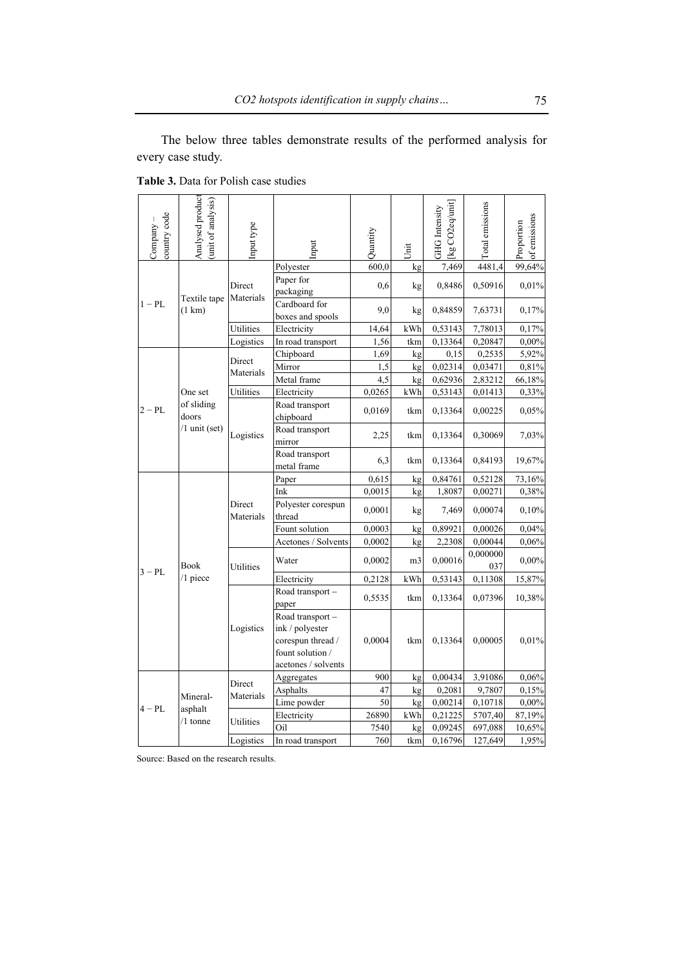The below three tables demonstrate results of the performed analysis for every case study.

| country code<br>Company | Analysed product<br>unit of analysis) | Input type          | nput                                                                                                | Quantity | Jnit    | [kg CO2eq/unit]<br><b>GHG</b> Intensity | Total emissions | of emissions<br>Proportion |
|-------------------------|---------------------------------------|---------------------|-----------------------------------------------------------------------------------------------------|----------|---------|-----------------------------------------|-----------------|----------------------------|
|                         |                                       |                     | Polyester                                                                                           | 600,0    | kg      | 7,469                                   | 4481,4          | 99,64%                     |
|                         | Textile tape                          | Direct<br>Materials | Paper for<br>packaging                                                                              | 0,6      | kg      | 0,8486                                  | 0,50916         | 0,01%                      |
| $1 - PL$                | (1 km)                                |                     | Cardboard for<br>boxes and spools                                                                   | 9,0      | kg      | 0,84859                                 | 7,63731         | 0,17%                      |
|                         |                                       | Utilities           | Electricity                                                                                         | 14,64    | kWh     | 0,53143                                 | 7,78013         | 0,17%                      |
|                         |                                       | Logistics           | In road transport                                                                                   | 1,56     | tkm     | 0,13364                                 | 0,20847         | 0,00%                      |
|                         |                                       | Direct              | Chipboard                                                                                           | 1,69     | kg      | 0,15                                    | 0,2535          | 5,92%                      |
|                         |                                       | Materials           | Mirror                                                                                              | 1,5      | kg      | 0,02314                                 | 0,03471         | 0,81%                      |
|                         |                                       |                     | Metal frame                                                                                         | 4.5      | kg      | 0,62936                                 | 2,83212         | 66,18%                     |
|                         | One set                               | Utilities           | Electricity                                                                                         | 0,0265   | kWh     | 0,53143                                 | 0,01413         | 0,33%                      |
| $2 - PL$                | of sliding<br>doors                   |                     | Road transport<br>chipboard                                                                         | 0,0169   | tkm     | 0,13364                                 | 0,00225         | 0,05%                      |
|                         | $/1$ unit (set)                       | Logistics           | Road transport<br>mirror                                                                            | 2,25     | tkm     | 0,13364                                 | 0,30069         | 7,03%                      |
|                         |                                       |                     | Road transport<br>metal frame                                                                       | 6,3      | tkm     | 0,13364                                 | 0,84193         | 19,67%                     |
|                         |                                       | Direct<br>Materials | Paper                                                                                               | 0,615    | kg      | 0,84761                                 | 0,52128         | 73,16%                     |
|                         |                                       |                     | Ink                                                                                                 | 0,0015   | kg      | 1,8087                                  | 0,00271         | 0,38%                      |
|                         |                                       |                     | Polyester corespun<br>thread                                                                        | 0,0001   | kg      | 7,469                                   | 0,00074         | 0,10%                      |
|                         |                                       |                     | Fount solution                                                                                      | 0,0003   | kg      | 0,89921                                 | 0,00026         | 0,04%                      |
|                         |                                       |                     | Acetones / Solvents                                                                                 | 0,0002   | kg      | 2,2308                                  | 0,00044         | 0,06%                      |
| $3-PL$                  | Book                                  | Utilities           | Water                                                                                               | 0,0002   | m3      | 0,00016                                 | 0,000000<br>037 | $0,00\%$                   |
|                         | $/1$ piece                            |                     | Electricity                                                                                         | 0,2128   | kWh     | 0,53143                                 | 0,11308         | 15,87%                     |
|                         |                                       |                     | Road transport -<br>paper                                                                           | 0,5535   | tkm     | 0,13364                                 | 0,07396         | 10,38%                     |
|                         |                                       | Logistics           | Road transport -<br>ink / polyester<br>corespun thread /<br>fount solution /<br>acetones / solvents | 0,0004   | tkm     | 0,13364                                 | 0,00005         | 0,01%                      |
|                         |                                       |                     | Aggregates                                                                                          | 900      | kg      | 0,00434                                 | 3,91086         | 0,06%                      |
|                         |                                       | Direct<br>Materials | Asphalts                                                                                            | 47       | kg      | 0,2081                                  | 9,7807          | 0,15%                      |
|                         | Mineral-                              |                     | Lime powder                                                                                         | 50       | kg      | 0,00214                                 | 0,10718         | $0,00\%$                   |
| $4 - PI$ .              | asphalt                               | Utilities           | Electricity                                                                                         | 26890    | kWh     | 0,21225                                 | 5707,40         | 87,19%                     |
| $/1$ tonne              |                                       |                     | Oil                                                                                                 | 7540     | kg      | 0,09245                                 | 697,088         | 10,65%                     |
|                         | Logistics                             | In road transport   | 760                                                                                                 | tkm      | 0,16796 | 127,649                                 | 1,95%           |                            |

**Table 3.** Data for Polish case studies

Source: Based on the research results.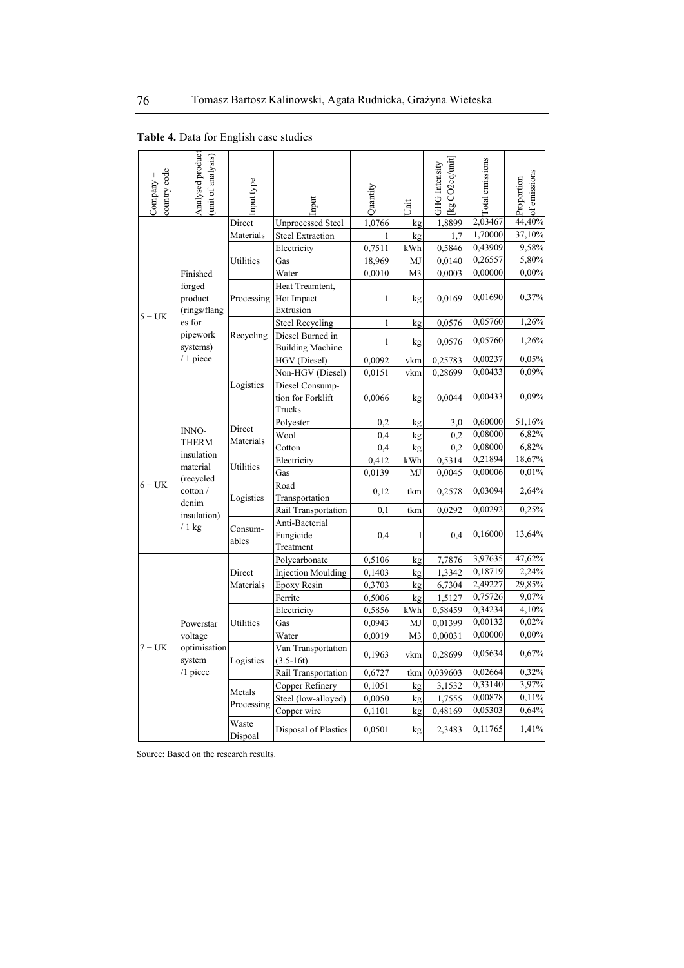| country code<br>Company | Analysed product<br>unit of analysis) | nput type        | nput                                                  | Quantity     | Jnit           | kg CO <sub>2</sub> eq/unit<br><b>GHG</b> Intensity | <b>Total</b> emissions | of emissions<br>Proportion |
|-------------------------|---------------------------------------|------------------|-------------------------------------------------------|--------------|----------------|----------------------------------------------------|------------------------|----------------------------|
|                         |                                       | Direct           | <b>Unprocessed Steel</b>                              | 1,0766       | kg             | 1,8899                                             | 2,03467                | 44,40%                     |
|                         |                                       | Materials        | <b>Steel Extraction</b>                               |              | kg             | 1.7                                                | 1,70000                | 37,10%                     |
|                         |                                       |                  | Electricity                                           | 0,7511       | kWh            | 0,5846                                             | 0,43909                | 9,58%                      |
|                         |                                       | Utilities        | Gas                                                   | 18,969       | MJ             | 0,0140                                             | 0,26557                | 5,80%                      |
|                         | Finished                              |                  | Water                                                 | 0,0010       | M <sub>3</sub> | 0,0003                                             | 0,00000                | $0,00\%$                   |
|                         | forged<br>product<br>(rings/flang)    |                  | Heat Treamtent,<br>Processing Hot Impact<br>Extrusion | 1            | kg             | 0,0169                                             | 0,01690                | 0,37%                      |
| $5 - UK$                | es for                                |                  | <b>Steel Recycling</b>                                | $\mathbf{1}$ | kg             | 0,0576                                             | 0,05760                | 1,26%                      |
|                         | pipework<br>systems)                  | Recycling        | Diesel Burned in<br><b>Building Machine</b>           | 1            | kg             | 0,0576                                             | 0,05760                | 1,26%                      |
|                         | $/1$ piece                            |                  | HGV (Diesel)                                          | 0,0092       | vkm            | 0,25783                                            | 0,00237                | 0,05%                      |
|                         |                                       |                  | Non-HGV (Diesel)                                      | 0,0151       | vkm            | 0,28699                                            | 0,00433                | 0,09%                      |
|                         |                                       | Logistics        | Diesel Consump-<br>tion for Forklift<br>Trucks        | 0,0066       | kg             | 0,0044                                             | 0,00433                | 0,09%                      |
|                         |                                       |                  | Polyester                                             | 0,2          | kg             | 3,0                                                | 0,60000                | 51,16%                     |
|                         | INNO-                                 | Direct           | Wool                                                  | 0,4          | kg             | 0,2                                                | 0,08000                | 6,82%                      |
|                         | <b>THERM</b>                          | Materials        | Cotton                                                | 0.4          | kg             | 0.2                                                | 0,08000                | 6,82%                      |
|                         | insulation                            |                  | Electricity                                           | 0,412        | kWh            | 0,5314                                             | 0,21894                | 18,67%                     |
|                         | material                              | Utilities        | Gas                                                   | 0,0139       | MJ             | 0,0045                                             | 0,00006                | 0,01%                      |
| $6 - UK$                | (recycled<br>cotton /<br>denim        | Logistics        | Road<br>Transportation                                | 0,12         | tkm            | 0,2578                                             | 0,03094                | 2,64%                      |
|                         | insulation)                           |                  | Rail Transportation                                   | 0,1          | tkm            | 0,0292                                             | 0,00292                | 0,25%                      |
|                         | $/1$ kg                               | Consum-<br>ables | Anti-Bacterial<br>Fungicide<br>Treatment              | 0,4          | 1              | 0,4                                                | 0,16000                | 13,64%                     |
|                         |                                       |                  | Polycarbonate                                         | 0,5106       | kg             | 7,7876                                             | 3,97635                | 47,62%                     |
|                         |                                       | Direct           | <b>Injection Moulding</b>                             | 0,1403       | kg             | 1,3342                                             | 0,18719                | 2,24%                      |
|                         |                                       | Materials        | Epoxy Resin                                           | 0,3703       | kg             | 6,7304                                             | 2,49227                | 29,85%                     |
|                         |                                       |                  | Ferrite                                               | 0,5006       | kg             | 1,5127                                             | 0,75726                | 9,07%                      |
|                         |                                       |                  | Electricity                                           | 0,5856       | kWh            | 0,58459                                            | 0,34234                | 4,10%                      |
|                         | Powerstar                             | Utilities        | Gas                                                   | 0,0943       | MJ             | 0,01399                                            | 0,00132                | 0.02%                      |
|                         | voltage                               |                  | Water                                                 | 0,0019       | M <sub>3</sub> | 0,00031                                            | 0,00000                | $0,00\%$                   |
| $7 - UK$                | optimisation<br>system                | Logistics        | Van Transportation<br>$(3.5-16t)$                     | 0,1963       | vkm            | 0,28699                                            | 0,05634                | 0,67%                      |
|                         | $/1$ piece                            |                  | Rail Transportation                                   | 0,6727       | tkm            | 0,039603                                           | 0,02664                | 0,32%                      |
|                         |                                       | Metals           | Copper Refinery                                       | 0,1051       | kg             | 3,1532                                             | 0,33140                | 3,97%                      |
|                         |                                       | Processing       | Steel (low-alloyed)                                   | 0,0050       | kg             | 1,7555                                             | 0,00878                | 0,11%                      |
|                         |                                       |                  | Copper wire                                           | 0,1101       | kg             | 0,48169                                            | 0,05303                | 0,64%                      |
|                         |                                       | Waste<br>Dispoal | Disposal of Plastics                                  | 0,0501       | kg             | 2,3483                                             | 0,11765                | 1,41%                      |

**Table 4.** Data for English case studies

Source: Based on the research results.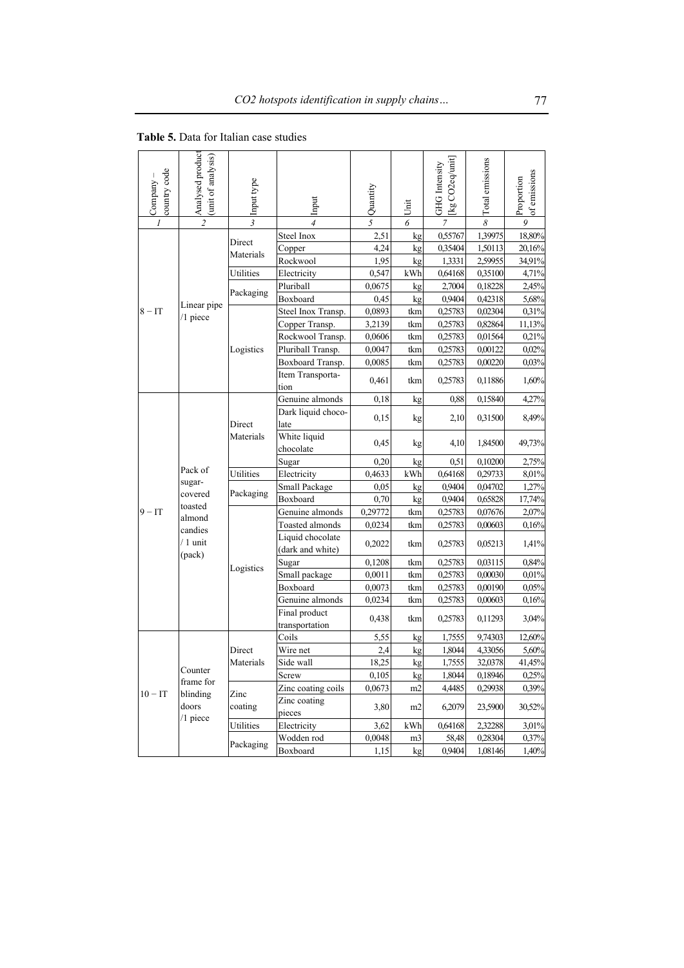| country code<br>Company | Analysed product<br>(unit of analysis) | Input type          | Input                                | Quantity | Unit           | [kg CO2eq/unit]<br>GHG Intensity | Total emissions | of emissions<br>Proportion |
|-------------------------|----------------------------------------|---------------------|--------------------------------------|----------|----------------|----------------------------------|-----------------|----------------------------|
|                         | $\overline{c}$                         | $\overline{3}$      | $\overline{4}$                       | 5        | 6              | $\overline{7}$                   | 8               | $\boldsymbol{Q}$           |
|                         |                                        |                     | Steel Inox                           | 2,51     | kg             | 0,55767                          | 1,39975         | 18,80%                     |
|                         |                                        | Direct<br>Materials | Copper                               | 4,24     | kg             | 0,35404                          | 1,50113         | 20,16%                     |
|                         |                                        |                     | Rockwool                             | 1,95     | kg             | 1,3331                           | 2,59955         | 34,91%                     |
|                         |                                        | Utilities           | Electricity                          | 0,547    | kWh            | 0,64168                          | 0,35100         | 4,71%                      |
|                         |                                        |                     | Pluriball                            | 0,0675   | kg             | 2,7004                           | 0,18228         | 2,45%                      |
|                         | Linear pipe                            | Packaging           | Boxboard                             | 0,45     | kg             | 0,9404                           | 0,42318         | 5,68%                      |
| $8 - IT$                | /1 piece                               |                     | Steel Inox Transp.                   | 0,0893   | tkm            | 0,25783                          | 0,02304         | 0,31%                      |
|                         |                                        |                     | Copper Transp.                       | 3,2139   | tkm            | 0,25783                          | 0,82864         | 11,13%                     |
|                         |                                        |                     | Rockwool Transp.                     | 0,0606   | tkm            | 0,25783                          | 0,01564         | 0,21%                      |
|                         |                                        | Logistics           | Pluriball Transp.                    | 0,0047   | tkm            | 0,25783                          | 0,00122         | 0,02%                      |
|                         |                                        |                     | Boxboard Transp.                     | 0,0085   | tkm            | 0,25783                          | 0,00220         | 0,03%                      |
|                         |                                        |                     | Item Transporta-<br>tion             | 0,461    | tkm            | 0,25783                          | 0,11886         | 1,60%                      |
|                         |                                        |                     | Genuine almonds                      | 0,18     | kg             | 0,88                             | 0,15840         | 4,27%                      |
|                         |                                        | Direct<br>Materials | Dark liquid choco-<br>late           | 0,15     | kg             | 2,10                             | 0,31500         | 8,49%                      |
|                         | Pack of                                |                     | White liquid<br>chocolate            | 0,45     | kg             | 4,10                             | 1,84500         | 49,73%                     |
|                         |                                        |                     | Sugar                                | 0,20     | kg             | 0,51                             | 0,10200         | 2,75%                      |
|                         |                                        | Utilities           | Electricity                          | 0,4633   | kWh            | 0,64168                          | 0,29733         | 8,01%                      |
|                         | sugar-                                 |                     | Small Package                        | 0,05     | kg             | 0,9404                           | 0,04702         | 1,27%                      |
|                         | covered                                | Packaging           | Boxboard                             | 0,70     | kg             | 0,9404                           | 0,65828         | 17,74%                     |
| $9 - IT$                | toasted                                |                     | Genuine almonds                      | 0,29772  | tkm            | 0,25783                          | 0,07676         | 2,07%                      |
|                         | almond<br>candies                      |                     | Toasted almonds                      | 0,0234   | tkm            | 0,25783                          | 0,00603         | 0,16%                      |
|                         | $/1$ unit                              |                     | Liquid chocolate<br>(dark and white) | 0,2022   | tkm            | 0,25783                          | 0,05213         | 1,41%                      |
|                         | (pack)                                 |                     | Sugar                                | 0,1208   | tkm            | 0,25783                          | 0,03115         | 0,84%                      |
|                         |                                        | Logistics           | Small package                        | 0,0011   | tkm            | 0,25783                          | 0,00030         | 0,01%                      |
|                         |                                        |                     | Boxboard                             | 0,0073   | tkm            | 0,25783                          | 0,00190         | 0,05%                      |
|                         |                                        |                     | Genuine almonds                      | 0,0234   | tkm            | 0,25783                          | 0,00603         | 0,16%                      |
|                         |                                        |                     | Final product<br>transportation      | 0,438    | tkm            | 0,25783                          | 0,11293         | 3,04%                      |
|                         |                                        |                     | Coils                                | 5,55     | kg             | 1,7555                           | 9,74303         | 12,60%                     |
|                         |                                        | Direct              | Wire net                             | 2,4      | kg             | 1,8044                           | 4,33056         | 5,60%                      |
|                         |                                        | Materials           | Side wall                            | 18,25    | kg             | 1,7555                           | 32,0378         | 41,45%                     |
|                         | Counter                                |                     | Screw                                | 0,105    | kg             | 1,8044                           | 0,18946         | 0,25%                      |
|                         | frame for                              |                     | Zinc coating coils                   | 0,0673   | m <sub>2</sub> | 4,4485                           | 0,29938         | 0,39%                      |
| $10 - IT$               | blinding<br>doors                      | Zinc<br>coating     | Zinc coating<br>pieces               | 3,80     | m <sub>2</sub> | 6,2079                           | 23,5900         | 30,52%                     |
|                         | /1 piece                               | Utilities           | Electricity                          | 3,62     | kWh            | 0,64168                          | 2,32288         | 3,01%                      |
|                         |                                        |                     | Wodden rod                           | 0,0048   | m3             | 58,48                            | 0.28304         | 0,37%                      |
|                         |                                        | Packaging           | Boxboard                             | 1,15     | kg             | 0,9404                           | 1,08146         | 1,40%                      |

**Table 5.** Data for Italian case studies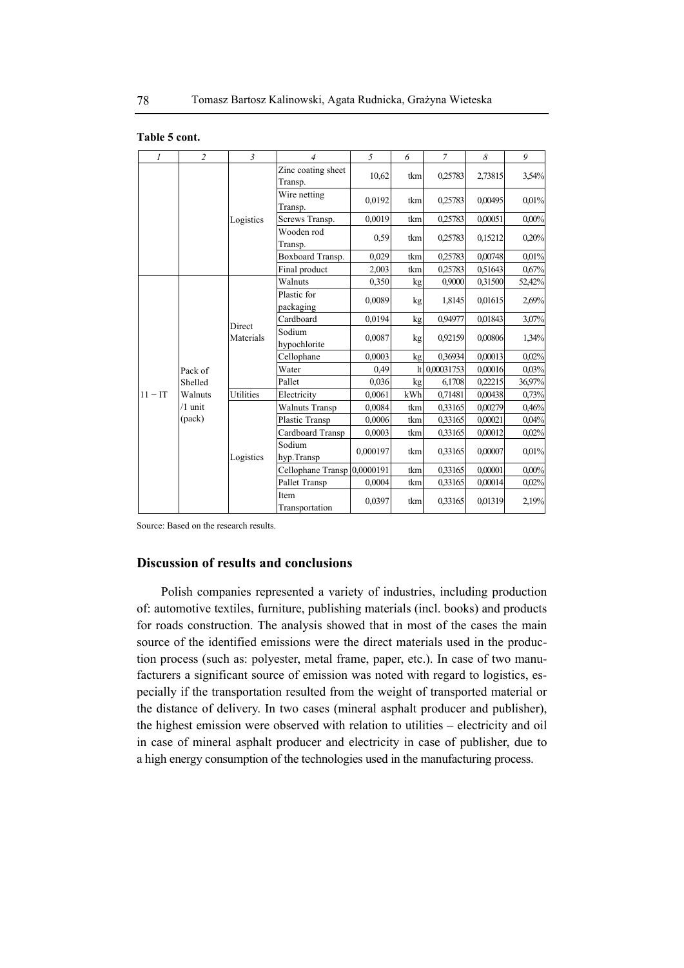| Table 5 cont. |  |  |  |
|---------------|--|--|--|
|---------------|--|--|--|

| $\mathfrak{1}$ | $\overline{c}$ | $\mathfrak{Z}$      | $\overline{4}$                | 5        | 6   | $\overline{7}$ | 8       | 9        |
|----------------|----------------|---------------------|-------------------------------|----------|-----|----------------|---------|----------|
|                |                |                     | Zinc coating sheet<br>Transp. | 10,62    | tkm | 0,25783        | 2,73815 | 3,54%    |
|                |                |                     | Wire netting<br>Transp.       | 0,0192   | tkm | 0,25783        | 0,00495 | 0,01%    |
|                |                | Logistics           | Screws Transp.                | 0,0019   | tkm | 0,25783        | 0,00051 | $0,00\%$ |
|                |                |                     | Wooden rod<br>Transp.         | 0,59     | tkm | 0,25783        | 0,15212 | 0,20%    |
|                |                |                     | Boxboard Transp.              | 0,029    | tkm | 0,25783        | 0,00748 | 0,01%    |
|                |                |                     | Final product                 | 2,003    | tkm | 0,25783        | 0.51643 | 0,67%    |
|                |                |                     | Walnuts                       | 0,350    | kg  | 0,9000         | 0,31500 | 52,42%   |
|                |                | Direct<br>Materials | Plastic for<br>packaging      | 0,0089   | kg  | 1,8145         | 0.01615 | 2,69%    |
|                |                |                     | Cardboard                     | 0,0194   | kg  | 0,94977        | 0,01843 | 3,07%    |
|                |                |                     | Sodium<br>hypochlorite        | 0,0087   | kg  | 0,92159        | 0,00806 | 1,34%    |
|                |                |                     | Cellophane                    | 0,0003   | kg  | 0.36934        | 0,00013 | 0,02%    |
|                | Pack of        |                     | Water                         | 0,49     | 1t  | 0,00031753     | 0,00016 | 0,03%    |
|                | Shelled        |                     | Pallet                        | 0,036    | kg  | 6,1708         | 0.22215 | 36,97%   |
| $11 - IT$      | Walnuts        | Utilities           | Electricity                   | 0,0061   | kWh | 0,71481        | 0,00438 | 0,73%    |
|                | $/1$ unit      |                     | <b>Walnuts Transp</b>         | 0,0084   | tkm | 0,33165        | 0,00279 | 0,46%    |
|                | (pack)         |                     | Plastic Transp                | 0,0006   | tkm | 0,33165        | 0,00021 | 0,04%    |
|                |                |                     | Cardboard Transp              | 0,0003   | tkm | 0,33165        | 0,00012 | 0,02%    |
|                |                | Logistics           | Sodium<br>hyp.Transp          | 0,000197 | tkm | 0,33165        | 0,00007 | 0,01%    |
|                |                |                     | Cellophane Transp 0,0000191   |          | tkm | 0,33165        | 0,00001 | 0,00%    |
|                |                |                     | Pallet Transp                 | 0,0004   | tkm | 0,33165        | 0,00014 | 0,02%    |
|                |                |                     | Item<br>Transportation        | 0,0397   | tkm | 0,33165        | 0.01319 | 2,19%    |

Source: Based on the research results.

# **Discussion of results and conclusions**

Polish companies represented a variety of industries, including production of: automotive textiles, furniture, publishing materials (incl. books) and products for roads construction. The analysis showed that in most of the cases the main source of the identified emissions were the direct materials used in the production process (such as: polyester, metal frame, paper, etc.). In case of two manufacturers a significant source of emission was noted with regard to logistics, especially if the transportation resulted from the weight of transported material or the distance of delivery. In two cases (mineral asphalt producer and publisher), the highest emission were observed with relation to utilities – electricity and oil in case of mineral asphalt producer and electricity in case of publisher, due to a high energy consumption of the technologies used in the manufacturing process.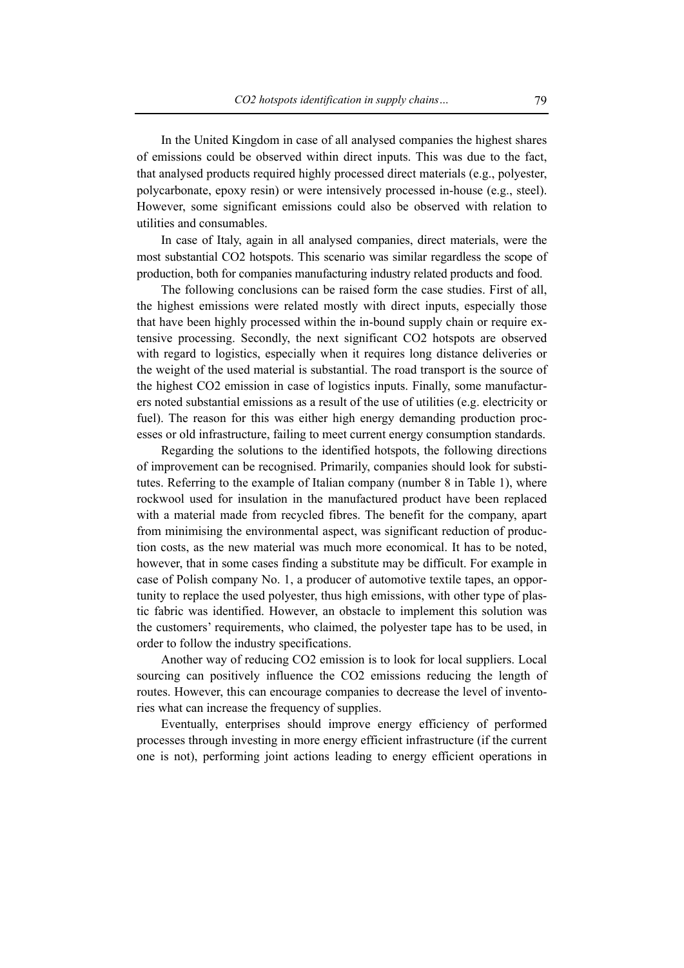In the United Kingdom in case of all analysed companies the highest shares of emissions could be observed within direct inputs. This was due to the fact, that analysed products required highly processed direct materials (e.g., polyester, polycarbonate, epoxy resin) or were intensively processed in-house (e.g., steel). However, some significant emissions could also be observed with relation to utilities and consumables.

In case of Italy, again in all analysed companies, direct materials, were the most substantial CO2 hotspots. This scenario was similar regardless the scope of production, both for companies manufacturing industry related products and food.

The following conclusions can be raised form the case studies. First of all, the highest emissions were related mostly with direct inputs, especially those that have been highly processed within the in-bound supply chain or require extensive processing. Secondly, the next significant CO2 hotspots are observed with regard to logistics, especially when it requires long distance deliveries or the weight of the used material is substantial. The road transport is the source of the highest CO2 emission in case of logistics inputs. Finally, some manufacturers noted substantial emissions as a result of the use of utilities (e.g. electricity or fuel). The reason for this was either high energy demanding production processes or old infrastructure, failing to meet current energy consumption standards.

Regarding the solutions to the identified hotspots, the following directions of improvement can be recognised. Primarily, companies should look for substitutes. Referring to the example of Italian company (number 8 in Table 1), where rockwool used for insulation in the manufactured product have been replaced with a material made from recycled fibres. The benefit for the company, apart from minimising the environmental aspect, was significant reduction of production costs, as the new material was much more economical. It has to be noted, however, that in some cases finding a substitute may be difficult. For example in case of Polish company No. 1, a producer of automotive textile tapes, an opportunity to replace the used polyester, thus high emissions, with other type of plastic fabric was identified. However, an obstacle to implement this solution was the customers' requirements, who claimed, the polyester tape has to be used, in order to follow the industry specifications.

Another way of reducing CO2 emission is to look for local suppliers. Local sourcing can positively influence the CO2 emissions reducing the length of routes. However, this can encourage companies to decrease the level of inventories what can increase the frequency of supplies.

Eventually, enterprises should improve energy efficiency of performed processes through investing in more energy efficient infrastructure (if the current one is not), performing joint actions leading to energy efficient operations in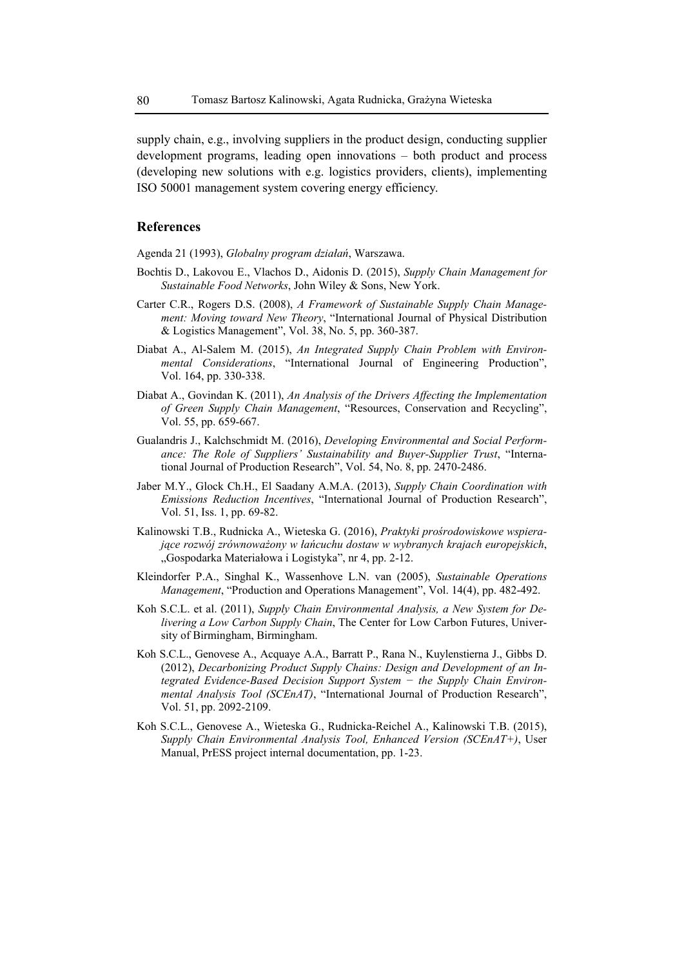supply chain, e.g., involving suppliers in the product design, conducting supplier development programs, leading open innovations – both product and process (developing new solutions with e.g. logistics providers, clients), implementing ISO 50001 management system covering energy efficiency.

# **References**

Agenda 21 (1993), *Globalny program działań*, Warszawa.

- Bochtis D., Lakovou E., Vlachos D., Aidonis D. (2015), *Supply Chain Management for Sustainable Food Networks*, John Wiley & Sons, New York.
- Carter C.R., Rogers D.S. (2008), *A Framework of Sustainable Supply Chain Management: Moving toward New Theory*, "International Journal of Physical Distribution & Logistics Management", Vol. 38, No. 5, pp. 360-387.
- Diabat A., Al-Salem M. (2015), *An Integrated Supply Chain Problem with Environmental Considerations*, "International Journal of Engineering Production", Vol. 164, pp. 330-338.
- Diabat A., Govindan K. (2011), *An Analysis of the Drivers Affecting the Implementation of Green Supply Chain Management*, "Resources, Conservation and Recycling", Vol. 55, pp. 659-667.
- Gualandris J., Kalchschmidt M. (2016), *Developing Environmental and Social Performance: The Role of Suppliers' Sustainability and Buyer-Supplier Trust*, "International Journal of Production Research", Vol. 54, No. 8, pp. 2470-2486.
- Jaber M.Y., Glock Ch.H., El Saadany A.M.A. (2013), *Supply Chain Coordination with Emissions Reduction Incentives*, "International Journal of Production Research", Vol. 51, Iss. 1, pp. 69-82.
- Kalinowski T.B., Rudnicka A., Wieteska G. (2016), *Praktyki prośrodowiskowe wspierające rozwój zrównoważony w łańcuchu dostaw w wybranych krajach europejskich*, "Gospodarka Materiałowa i Logistyka", nr 4, pp. 2-12.
- Kleindorfer P.A., Singhal K., Wassenhove L.N. van (2005), *Sustainable Operations Management*, "Production and Operations Management", Vol. 14(4), pp. 482-492.
- Koh S.C.L. et al. (2011), *Supply Chain Environmental Analysis, a New System for Delivering a Low Carbon Supply Chain*, The Center for Low Carbon Futures, University of Birmingham, Birmingham.
- Koh S.C.L., Genovese A., Acquaye A.A., Barratt P., Rana N., Kuylenstierna J., Gibbs D. (2012), *Decarbonizing Product Supply Chains: Design and Development of an Integrated Evidence-Based Decision Support System − the Supply Chain Environmental Analysis Tool (SCEnAT)*, "International Journal of Production Research", Vol. 51, pp. 2092-2109.
- Koh S.C.L., Genovese A., Wieteska G., Rudnicka-Reichel A., Kalinowski T.B. (2015), *Supply Chain Environmental Analysis Tool, Enhanced Version (SCEnAT+)*, User Manual, PrESS project internal documentation, pp. 1-23.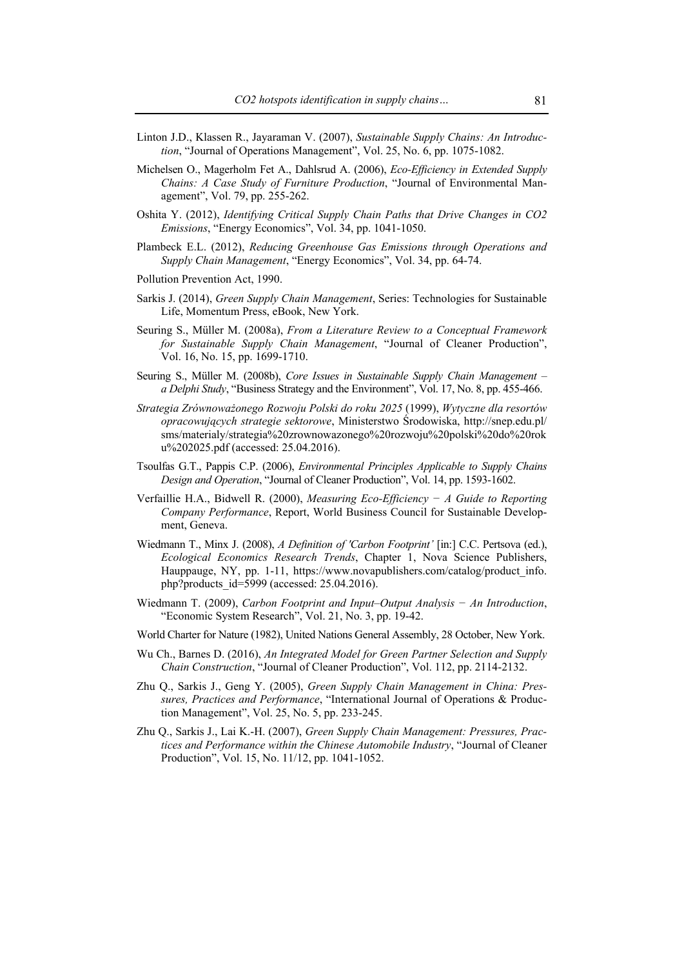- Linton J.D., Klassen R., Jayaraman V. (2007), *Sustainable Supply Chains: An Introduction*, "Journal of Operations Management", Vol. 25, No. 6, pp. 1075-1082.
- Michelsen O., Magerholm Fet A., Dahlsrud A. (2006), *Eco-Efficiency in Extended Supply Chains: A Case Study of Furniture Production*, "Journal of Environmental Management", Vol. 79, pp. 255-262.
- Oshita Y. (2012), *Identifying Critical Supply Chain Paths that Drive Changes in CO2 Emissions*, "Energy Economics", Vol. 34, pp. 1041-1050.
- Plambeck E.L. (2012), *Reducing Greenhouse Gas Emissions through Operations and Supply Chain Management*, "Energy Economics", Vol. 34, pp. 64-74.
- Pollution Prevention Act, 1990.
- Sarkis J. (2014), *Green Supply Chain Management*, Series: Technologies for Sustainable Life, Momentum Press, eBook, New York.
- Seuring S., Müller M. (2008a), *From a Literature Review to a Conceptual Framework for Sustainable Supply Chain Management*, "Journal of Cleaner Production", Vol. 16, No. 15, pp. 1699-1710.
- Seuring S., Müller M. (2008b), *Core Issues in Sustainable Supply Chain Management a Delphi Study*, "Business Strategy and the Environment", Vol. 17, No. 8, pp. 455-466.
- *Strategia Zrównoważonego Rozwoju Polski do roku 2025* (1999), *Wytyczne dla resortów opracowujących strategie sektorowe*, Ministerstwo Środowiska, http://snep.edu.pl/ sms/materialy/strategia%20zrownowazonego%20rozwoju%20polski%20do%20rok u%202025.pdf (accessed: 25.04.2016).
- Tsoulfas G.T., Pappis C.P. (2006), *Environmental Principles Applicable to Supply Chains Design and Operation*, "Journal of Cleaner Production", Vol. 14, pp. 1593-1602.
- Verfaillie H.A., Bidwell R. (2000), *Measuring Eco-Efficiency − A Guide to Reporting Company Performance*, Report, World Business Council for Sustainable Development, Geneva.
- Wiedmann T., Minx J. (2008), *A Definition of 'Carbon Footprint'* [in:] C.C. Pertsova (ed.), *Ecological Economics Research Trends*, Chapter 1, Nova Science Publishers, Hauppauge, NY, pp. 1-11, https://www.novapublishers.com/catalog/product\_info. php?products\_id=5999 (accessed: 25.04.2016).
- Wiedmann T. (2009), *Carbon Footprint and Input–Output Analysis − An Introduction*, "Economic System Research", Vol. 21, No. 3, pp. 19-42.
- World Charter for Nature (1982), United Nations General Assembly, 28 October, New York.
- Wu Ch., Barnes D. (2016), *An Integrated Model for Green Partner Selection and Supply Chain Construction*, "Journal of Cleaner Production", Vol. 112, pp. 2114-2132.
- Zhu Q., Sarkis J., Geng Y. (2005), *Green Supply Chain Management in China: Pressures, Practices and Performance*, "International Journal of Operations & Production Management", Vol. 25, No. 5, pp. 233-245.
- Zhu Q., Sarkis J., Lai K.-H. (2007), *Green Supply Chain Management: Pressures, Practices and Performance within the Chinese Automobile Industry*, "Journal of Cleaner Production", Vol. 15, No. 11/12, pp. 1041-1052.